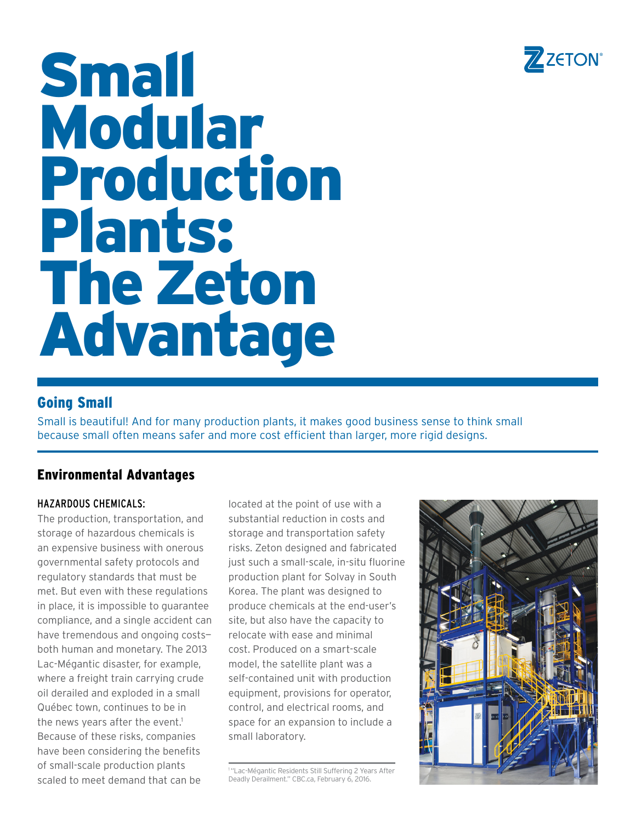

# Small Modular Production Plants: The Zeton Advantage

# Going Small

Small is beautiful! And for many production plants, it makes good business sense to think small because small often means safer and more cost efficient than larger, more rigid designs.

# Environmental Advantages

## Hazardous Chemicals:

The production, transportation, and storage of hazardous chemicals is an expensive business with onerous governmental safety protocols and regulatory standards that must be met. But even with these regulations in place, it is impossible to guarantee compliance, and a single accident can have tremendous and ongoing costs both human and monetary. The 2013 Lac-Mégantic disaster, for example, where a freight train carrying crude oil derailed and exploded in a small Québec town, continues to be in the news years after the event.<sup>1</sup> Because of these risks, companies have been considering the benefits of small-scale production plants scaled to meet demand that can be

located at the point of use with a substantial reduction in costs and storage and transportation safety risks. Zeton designed and fabricated just such a small-scale, in-situ fluorine production plant for Solvay in South Korea. The plant was designed to produce chemicals at the end-user's site, but also have the capacity to relocate with ease and minimal cost. Produced on a smart-scale model, the satellite plant was a self-contained unit with production equipment, provisions for operator, control, and electrical rooms, and space for an expansion to include a small laboratory.

<sup>1</sup> "Lac-Mégantic Residents Still Suffering 2 Years After Deadly Derailment." CBC.ca, February 6, 2016.

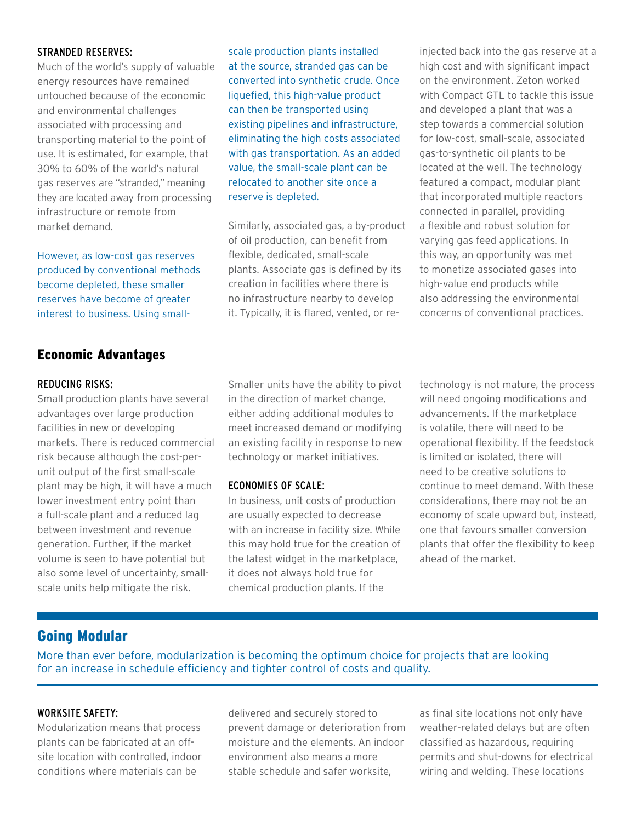#### Stranded Reserves:

Much of the world's supply of valuable energy resources have remained untouched because of the economic and environmental challenges associated with processing and transporting material to the point of use. It is estimated, for example, that 30% to 60% of the world's natural gas reserves are "stranded," meaning they are located away from processing infrastructure or remote from market demand.

However, as low-cost gas reserves produced by conventional methods become depleted, these smaller reserves have become of greater interest to business. Using small-

# Economic Advantages

#### reducing risks:

Small production plants have several advantages over large production facilities in new or developing markets. There is reduced commercial risk because although the cost-perunit output of the first small-scale plant may be high, it will have a much lower investment entry point than a full-scale plant and a reduced lag between investment and revenue generation. Further, if the market volume is seen to have potential but also some level of uncertainty, smallscale units help mitigate the risk.

scale production plants installed at the source, stranded gas can be converted into synthetic crude. Once liquefied, this high-value product can then be transported using existing pipelines and infrastructure, eliminating the high costs associated with gas transportation. As an added value, the small-scale plant can be relocated to another site once a reserve is depleted.

Similarly, associated gas, a by-product of oil production, can benefit from flexible, dedicated, small-scale plants. Associate gas is defined by its creation in facilities where there is no infrastructure nearby to develop it. Typically, it is flared, vented, or reinjected back into the gas reserve at a high cost and with significant impact on the environment. Zeton worked with Compact GTL to tackle this issue and developed a plant that was a step towards a commercial solution for low-cost, small-scale, associated gas-to-synthetic oil plants to be located at the well. The technology featured a compact, modular plant that incorporated multiple reactors connected in parallel, providing a flexible and robust solution for varying gas feed applications. In this way, an opportunity was met to monetize associated gases into high-value end products while also addressing the environmental concerns of conventional practices.

Smaller units have the ability to pivot in the direction of market change, either adding additional modules to meet increased demand or modifying an existing facility in response to new technology or market initiatives.

#### Economies of Scale:

In business, unit costs of production are usually expected to decrease with an increase in facility size. While this may hold true for the creation of the latest widget in the marketplace, it does not always hold true for chemical production plants. If the

technology is not mature, the process will need ongoing modifications and advancements. If the marketplace is volatile, there will need to be operational flexibility. If the feedstock is limited or isolated, there will need to be creative solutions to continue to meet demand. With these considerations, there may not be an economy of scale upward but, instead, one that favours smaller conversion plants that offer the flexibility to keep ahead of the market.

# Going Modular

More than ever before, modularization is becoming the optimum choice for projects that are looking for an increase in schedule efficiency and tighter control of costs and quality.

#### WORKSITE SAFETY:

Modularization means that process plants can be fabricated at an offsite location with controlled, indoor conditions where materials can be

delivered and securely stored to prevent damage or deterioration from moisture and the elements. An indoor environment also means a more stable schedule and safer worksite,

as final site locations not only have weather-related delays but are often classified as hazardous, requiring permits and shut-downs for electrical wiring and welding. These locations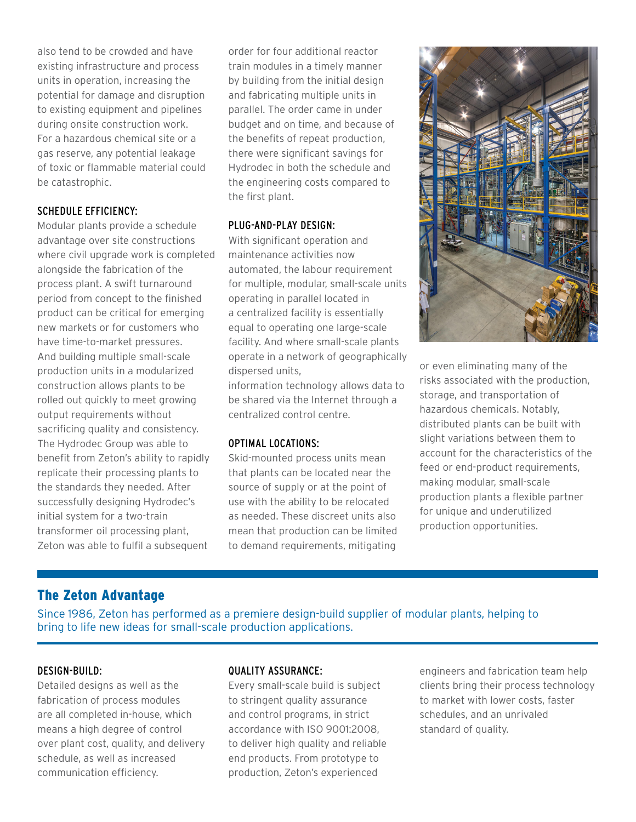also tend to be crowded and have existing infrastructure and process units in operation, increasing the potential for damage and disruption to existing equipment and pipelines during onsite construction work. For a hazardous chemical site or a gas reserve, any potential leakage of toxic or flammable material could be catastrophic.

## Schedule Efficiency:

Modular plants provide a schedule advantage over site constructions where civil upgrade work is completed alongside the fabrication of the process plant. A swift turnaround period from concept to the finished product can be critical for emerging new markets or for customers who have time-to-market pressures. And building multiple small-scale production units in a modularized construction allows plants to be rolled out quickly to meet growing output requirements without sacrificing quality and consistency. The Hydrodec Group was able to benefit from Zeton's ability to rapidly replicate their processing plants to the standards they needed. After successfully designing Hydrodec's initial system for a two-train transformer oil processing plant, Zeton was able to fulfil a subsequent

order for four additional reactor train modules in a timely manner by building from the initial design and fabricating multiple units in parallel. The order came in under budget and on time, and because of the benefits of repeat production, there were significant savings for Hydrodec in both the schedule and the engineering costs compared to the first plant.

#### Plug-and-Play Design:

With significant operation and maintenance activities now automated, the labour requirement for multiple, modular, small-scale units operating in parallel located in a centralized facility is essentially equal to operating one large-scale facility. And where small-scale plants operate in a network of geographically dispersed units,

information technology allows data to be shared via the Internet through a centralized control centre.

#### Optimal Locations:

Skid-mounted process units mean that plants can be located near the source of supply or at the point of use with the ability to be relocated as needed. These discreet units also mean that production can be limited to demand requirements, mitigating



or even eliminating many of the risks associated with the production, storage, and transportation of hazardous chemicals. Notably, distributed plants can be built with slight variations between them to account for the characteristics of the feed or end-product requirements, making modular, small-scale production plants a flexible partner for unique and underutilized production opportunities.

# The Zeton Advantage

Since 1986, Zeton has performed as a premiere design-build supplier of modular plants, helping to bring to life new ideas for small-scale production applications.

## Design-Build:

Detailed designs as well as the fabrication of process modules are all completed in-house, which means a high degree of control over plant cost, quality, and delivery schedule, as well as increased communication efficiency.

#### Quality Assurance:

Every small-scale build is subject to stringent quality assurance and control programs, in strict accordance with ISO 9001:2008, to deliver high quality and reliable end products. From prototype to production, Zeton's experienced

engineers and fabrication team help clients bring their process technology to market with lower costs, faster schedules, and an unrivaled standard of quality.